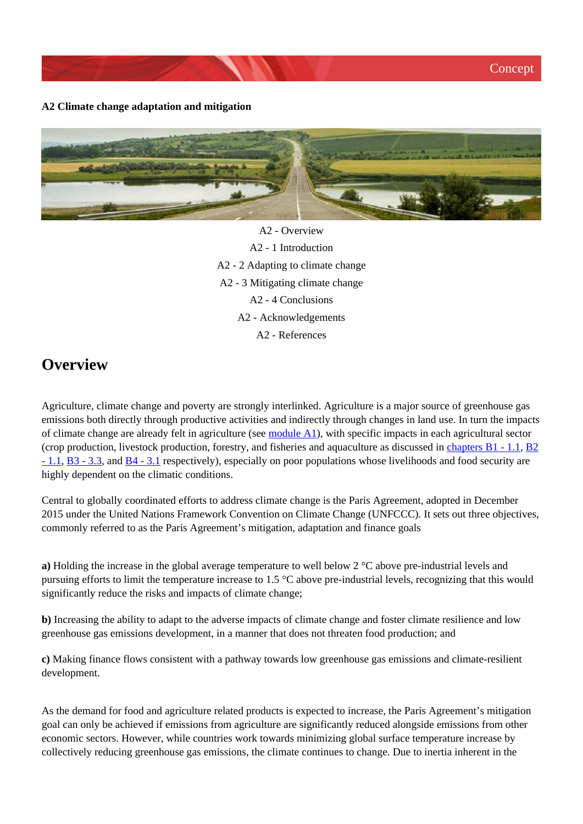#### **A2 Climate change adaptation and mitigation**



A2 - Overview A2 - 1 Introduction A2 - 2 Adapting to climate change A2 - 3 Mitigating climate change A2 - 4 Conclusions A2 - Acknowledgements A2 - References

## **Overview**

Agriculture, climate change and poverty are strongly interlinked. Agriculture is a major source of greenhouse gas emissions both directly through productive activities and indirectly through changes in land use. In turn the impacts of climate change are already felt in agriculture (see [module A1\)](http://www.fao.org/climate-smart-agriculture-sourcebook/concept/module-a1-introducing-csa/ar/), with specific impacts in each agricultural sector (crop production, livestock production, forestry, and fisheries and aquaculture as discussed in chapters  $B1 - 1.1$ ,  $B2$ [- 1.1,](http://www.fao.org/climate-smart-agriculture-sourcebook/production-resources/module-b2-livestock/chapter-b2-1/ar/) [B3 - 3.3,](http://www.fao.org/climate-smart-agriculture-sourcebook/production-resources/module-b3-forestry/chapter-b3-3/ar/) and [B4 - 3.1](http://www.fao.org/climate-smart-agriculture-sourcebook/production-resources/module-b4-fisheries/chapter-b4-3/ar/) respectively), especially on poor populations whose livelihoods and food security are highly dependent on the climatic conditions.

Central to globally coordinated efforts to address climate change is the Paris Agreement, adopted in December 2015 under the United Nations Framework Convention on Climate Change (UNFCCC). It sets out three objectives, commonly referred to as the Paris Agreement's mitigation, adaptation and finance goals

**a)** Holding the increase in the global average temperature to well below 2 °C above pre-industrial levels and pursuing efforts to limit the temperature increase to 1.5 °C above pre-industrial levels, recognizing that this would significantly reduce the risks and impacts of climate change;

**b**) Increasing the ability to adapt to the adverse impacts of climate change and foster climate resilience and low greenhouse gas emissions development, in a manner that does not threaten food production; and

**c)** Making finance flows consistent with a pathway towards low greenhouse gas emissions and climate-resilient development.

As the demand for food and agriculture related products is expected to increase, the Paris Agreement's mitigation goal can only be achieved if emissions from agriculture are significantly reduced alongside emissions from other economic sectors. However, while countries work towards minimizing global surface temperature increase by collectively reducing greenhouse gas emissions, the climate continues to change. Due to inertia inherent in the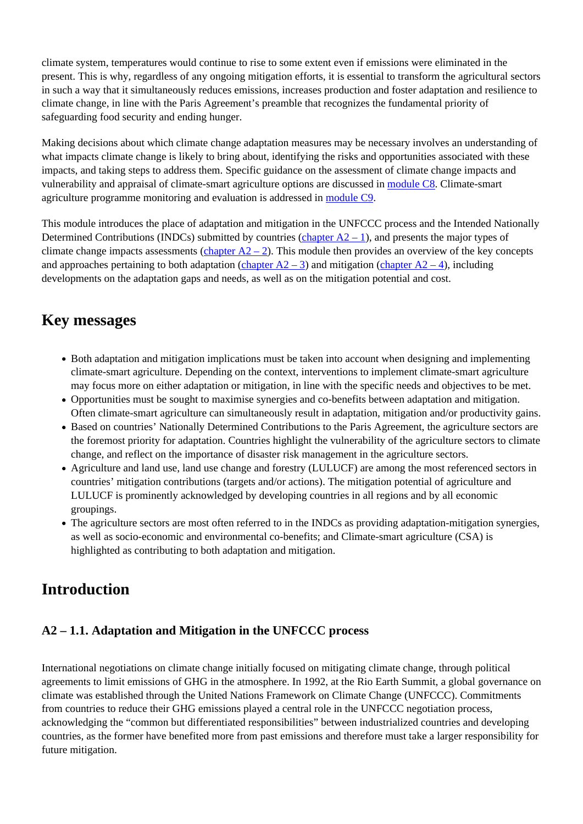climate system, temperatures would continue to rise to some extent even if emissions were eliminated in the present. This is why, regardless of any ongoing mitigation efforts, it is essential to transform the agricultural sectors in such a way that it simultaneously reduces emissions, increases production and foster adaptation and resilience to climate change, in line with the Paris Agreement's preamble that recognizes the fundamental priority of safeguarding food security and ending hunger.

Making decisions about which climate change adaptation measures may be necessary involves an understanding of what impacts climate change is likely to bring about, identifying the risks and opportunities associated with these impacts, and taking steps to address them. Specific guidance on the assessment of climate change impacts and vulnerability and appraisal of climate-smart agriculture options are discussed in [module C8](http://www.fao.org/climate-smart-agriculture-sourcebook/enabling-frameworks/module-c8-impact-assessments/ar/). Climate-smart agriculture programme monitoring and evaluation is addressed in [module C9](http://www.fao.org/climate-smart-agriculture-sourcebook/enabling-frameworks/module-c9-monitoring-evaluation/ar/).

This module introduces the place of adaptation and mitigation in the UNFCCC process and the Intended Nationally Determined Contributions (INDCs) submitted by countries (chapter  $A2 - 1$ ), and presents the major types of climate change impacts assessments (chapter  $A2 - 2$ ). This module then provides an overview of the key concepts and approaches pertaining to both adaptation (chapter  $A2 - 3$ ) and mitigation (chapter  $A2 - 4$ ), including developments on the adaptation gaps and needs, as well as on the mitigation potential and cost.

# **Key messages**

- Both adaptation and mitigation implications must be taken into account when designing and implementing climate-smart agriculture. Depending on the context, interventions to implement climate-smart agriculture may focus more on either adaptation or mitigation, in line with the specific needs and objectives to be met.
- Opportunities must be sought to maximise synergies and co-benefits between adaptation and mitigation. Often climate-smart agriculture can simultaneously result in adaptation, mitigation and/or productivity gains.
- Based on countries' Nationally Determined Contributions to the Paris Agreement, the agriculture sectors are the foremost priority for adaptation. Countries highlight the vulnerability of the agriculture sectors to climate change, and reflect on the importance of disaster risk management in the agriculture sectors.
- Agriculture and land use, land use change and forestry (LULUCF) are among the most referenced sectors in countries' mitigation contributions (targets and/or actions). The mitigation potential of agriculture and LULUCF is prominently acknowledged by developing countries in all regions and by all economic groupings.
- The agriculture sectors are most often referred to in the INDCs as providing adaptation-mitigation synergies, as well as socio-economic and environmental co-benefits; and Climate-smart agriculture (CSA) is highlighted as contributing to both adaptation and mitigation.

# **Introduction**

### **A2 – 1.1. Adaptation and Mitigation in the UNFCCC process**

International negotiations on climate change initially focused on mitigating climate change, through political agreements to limit emissions of GHG in the atmosphere. In 1992, at the Rio Earth Summit, a global governance on climate was established through the United Nations Framework on Climate Change (UNFCCC). Commitments from countries to reduce their GHG emissions played a central role in the UNFCCC negotiation process, acknowledging the "common but differentiated responsibilities" between industrialized countries and developing countries, as the former have benefited more from past emissions and therefore must take a larger responsibility for future mitigation.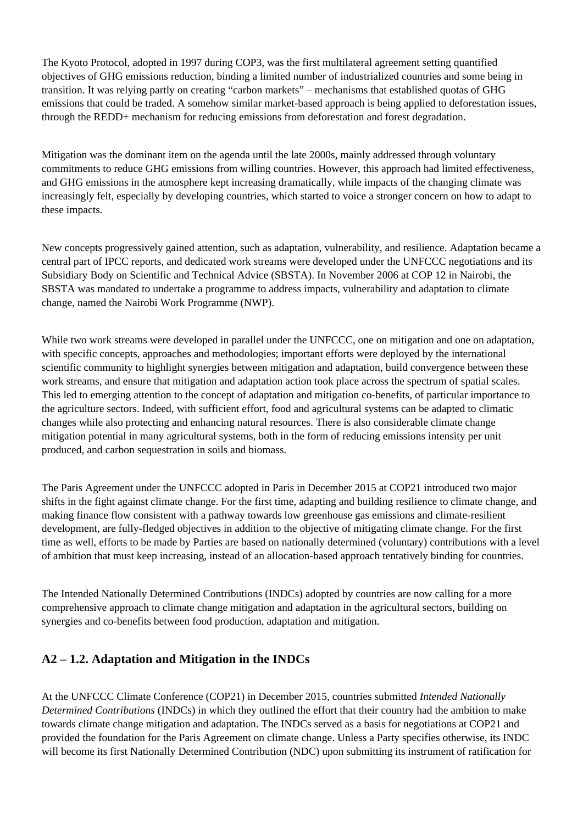The Kyoto Protocol, adopted in 1997 during COP3, was the first multilateral agreement setting quantified objectives of GHG emissions reduction, binding a limited number of industrialized countries and some being in transition. It was relying partly on creating "carbon markets" – mechanisms that established quotas of GHG emissions that could be traded. A somehow similar market-based approach is being applied to deforestation issues, through the REDD+ mechanism for reducing emissions from deforestation and forest degradation.

Mitigation was the dominant item on the agenda until the late 2000s, mainly addressed through voluntary commitments to reduce GHG emissions from willing countries. However, this approach had limited effectiveness, and GHG emissions in the atmosphere kept increasing dramatically, while impacts of the changing climate was increasingly felt, especially by developing countries, which started to voice a stronger concern on how to adapt to these impacts.

New concepts progressively gained attention, such as adaptation, vulnerability, and resilience. Adaptation became a central part of IPCC reports, and dedicated work streams were developed under the UNFCCC negotiations and its Subsidiary Body on Scientific and Technical Advice (SBSTA). In November 2006 at COP 12 in Nairobi, the SBSTA was mandated to undertake a programme to address impacts, vulnerability and adaptation to climate change, named the Nairobi Work Programme (NWP).

While two work streams were developed in parallel under the UNFCCC, one on mitigation and one on adaptation, with specific concepts, approaches and methodologies; important efforts were deployed by the international scientific community to highlight synergies between mitigation and adaptation, build convergence between these work streams, and ensure that mitigation and adaptation action took place across the spectrum of spatial scales. This led to emerging attention to the concept of adaptation and mitigation co-benefits, of particular importance to the agriculture sectors. Indeed, with sufficient effort, food and agricultural systems can be adapted to climatic changes while also protecting and enhancing natural resources. There is also considerable climate change mitigation potential in many agricultural systems, both in the form of reducing emissions intensity per unit produced, and carbon sequestration in soils and biomass.

The Paris Agreement under the UNFCCC adopted in Paris in December 2015 at COP21 introduced two major shifts in the fight against climate change. For the first time, adapting and building resilience to climate change, and making finance flow consistent with a pathway towards low greenhouse gas emissions and climate-resilient development, are fully-fledged objectives in addition to the objective of mitigating climate change. For the first time as well, efforts to be made by Parties are based on nationally determined (voluntary) contributions with a level of ambition that must keep increasing, instead of an allocation-based approach tentatively binding for countries.

The Intended Nationally Determined Contributions (INDCs) adopted by countries are now calling for a more comprehensive approach to climate change mitigation and adaptation in the agricultural sectors, building on synergies and co-benefits between food production, adaptation and mitigation.

### **A2 – 1.2. Adaptation and Mitigation in the INDCs**

At the UNFCCC Climate Conference (COP21) in December 2015, countries submitted *Intended Nationally Determined Contributions* (INDCs) in which they outlined the effort that their country had the ambition to make towards climate change mitigation and adaptation. The INDCs served as a basis for negotiations at COP21 and provided the foundation for the Paris Agreement on climate change. Unless a Party specifies otherwise, its INDC will become its first Nationally Determined Contribution (NDC) upon submitting its instrument of ratification for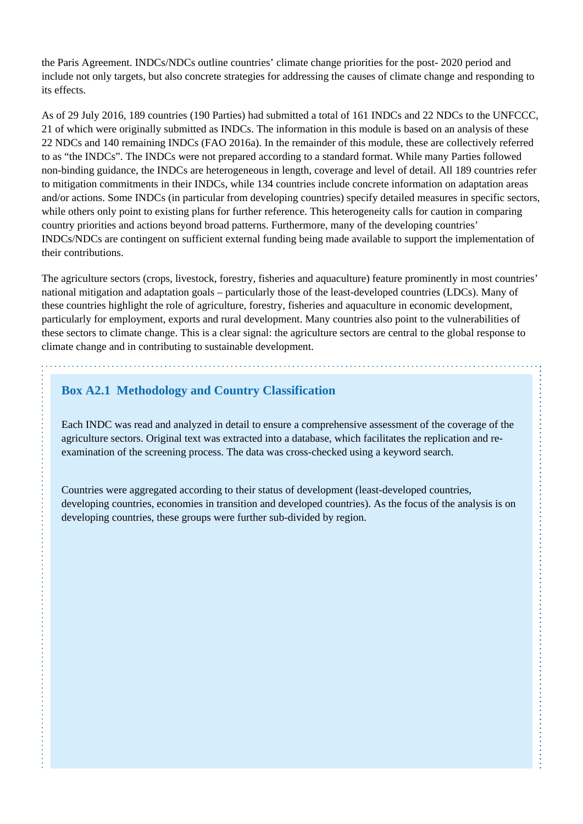the Paris Agreement. INDCs/NDCs outline countries' climate change priorities for the post- 2020 period and include not only targets, but also concrete strategies for addressing the causes of climate change and responding to its effects.

As of 29 July 2016, 189 countries (190 Parties) had submitted a total of 161 INDCs and 22 NDCs to the UNFCCC, 21 of which were originally submitted as INDCs. The information in this module is based on an analysis of these 22 NDCs and 140 remaining INDCs (FAO 2016a). In the remainder of this module, these are collectively referred to as "the INDCs". The INDCs were not prepared according to a standard format. While many Parties followed non-binding guidance, the INDCs are heterogeneous in length, coverage and level of detail. All 189 countries refer to mitigation commitments in their INDCs, while 134 countries include concrete information on adaptation areas and/or actions. Some INDCs (in particular from developing countries) specify detailed measures in specific sectors, while others only point to existing plans for further reference. This heterogeneity calls for caution in comparing country priorities and actions beyond broad patterns. Furthermore, many of the developing countries' INDCs/NDCs are contingent on sufficient external funding being made available to support the implementation of their contributions.

The agriculture sectors (crops, livestock, forestry, fisheries and aquaculture) feature prominently in most countries' national mitigation and adaptation goals – particularly those of the least-developed countries (LDCs). Many of these countries highlight the role of agriculture, forestry, fisheries and aquaculture in economic development, particularly for employment, exports and rural development. Many countries also point to the vulnerabilities of these sectors to climate change. This is a clear signal: the agriculture sectors are central to the global response to climate change and in contributing to sustainable development.

### **Box A2.1 Methodology and Country Classification**

Each INDC was read and analyzed in detail to ensure a comprehensive assessment of the coverage of the agriculture sectors. Original text was extracted into a database, which facilitates the replication and reexamination of the screening process. The data was cross-checked using a keyword search.

Countries were aggregated according to their status of development (least-developed countries, developing countries, economies in transition and developed countries). As the focus of the analysis is on developing countries, these groups were further sub-divided by region.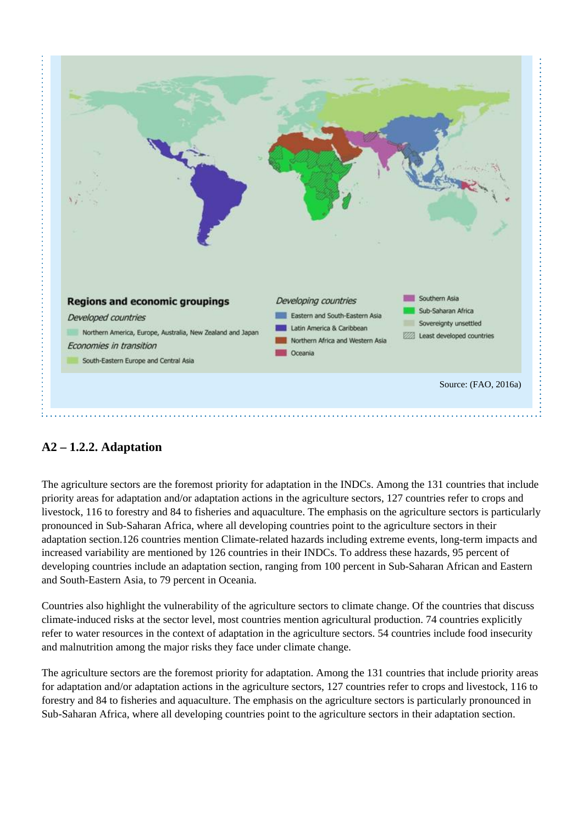

### **A2 – 1.2.2. Adaptation**

The agriculture sectors are the foremost priority for adaptation in the INDCs. Among the 131 countries that include priority areas for adaptation and/or adaptation actions in the agriculture sectors, 127 countries refer to crops and livestock, 116 to forestry and 84 to fisheries and aquaculture. The emphasis on the agriculture sectors is particularly pronounced in Sub-Saharan Africa, where all developing countries point to the agriculture sectors in their adaptation section.126 countries mention Climate-related hazards including extreme events, long-term impacts and increased variability are mentioned by 126 countries in their INDCs. To address these hazards, 95 percent of developing countries include an adaptation section, ranging from 100 percent in Sub-Saharan African and Eastern and South-Eastern Asia, to 79 percent in Oceania.

Countries also highlight the vulnerability of the agriculture sectors to climate change. Of the countries that discuss climate-induced risks at the sector level, most countries mention agricultural production. 74 countries explicitly refer to water resources in the context of adaptation in the agriculture sectors. 54 countries include food insecurity and malnutrition among the major risks they face under climate change.

The agriculture sectors are the foremost priority for adaptation. Among the 131 countries that include priority areas for adaptation and/or adaptation actions in the agriculture sectors, 127 countries refer to crops and livestock, 116 to forestry and 84 to fisheries and aquaculture. The emphasis on the agriculture sectors is particularly pronounced in Sub-Saharan Africa, where all developing countries point to the agriculture sectors in their adaptation section.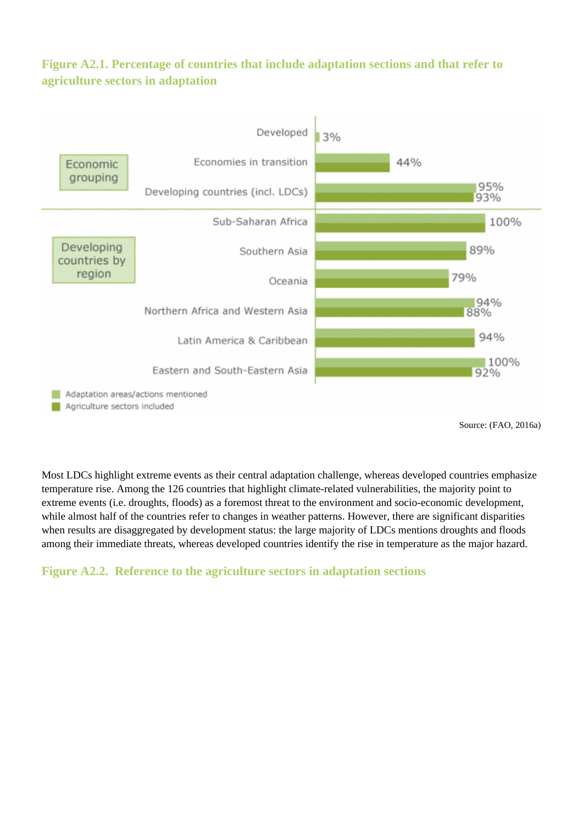### **Figure A2.1. Percentage of countries that include adaptation sections and that refer to agriculture sectors in adaptation**



Source: (FAO, 2016a)

Most LDCs highlight extreme events as their central adaptation challenge, whereas developed countries emphasize temperature rise. Among the 126 countries that highlight climate-related vulnerabilities, the majority point to extreme events (i.e. droughts, floods) as a foremost threat to the environment and socio-economic development, while almost half of the countries refer to changes in weather patterns. However, there are significant disparities when results are disaggregated by development status: the large majority of LDCs mentions droughts and floods among their immediate threats, whereas developed countries identify the rise in temperature as the major hazard.

### **Figure A2.2. Reference to the agriculture sectors in adaptation sections**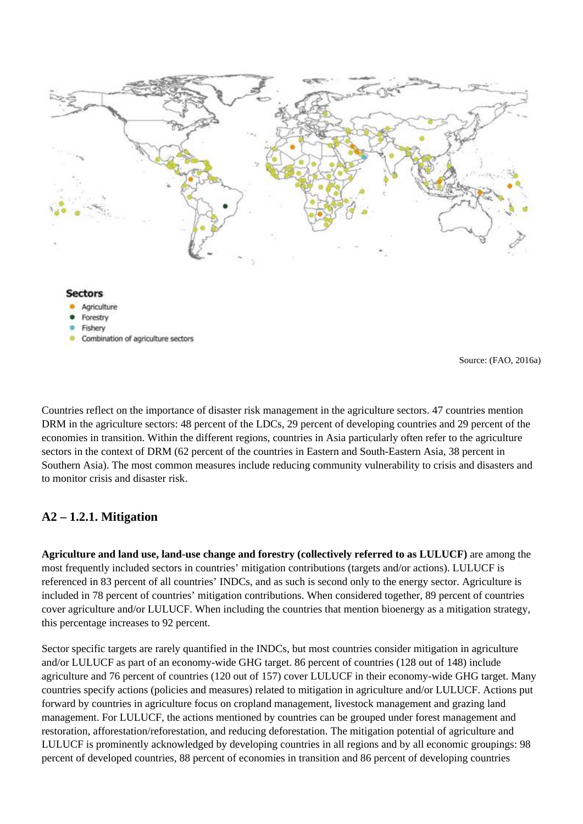

- Fishery
- Combination of agriculture sectors

Source: (FAO, 2016a)

Countries reflect on the importance of disaster risk management in the agriculture sectors. 47 countries mention DRM in the agriculture sectors: 48 percent of the LDCs, 29 percent of developing countries and 29 percent of the economies in transition. Within the different regions, countries in Asia particularly often refer to the agriculture sectors in the context of DRM (62 percent of the countries in Eastern and South-Eastern Asia, 38 percent in Southern Asia). The most common measures include reducing community vulnerability to crisis and disasters and to monitor crisis and disaster risk.

#### **A2 – 1.2.1. Mitigation**

**Agriculture and land use, land-use change and forestry (collectively referred to as LULUCF)** are among the most frequently included sectors in countries' mitigation contributions (targets and/or actions). LULUCF is referenced in 83 percent of all countries' INDCs, and as such is second only to the energy sector. Agriculture is included in 78 percent of countries' mitigation contributions. When considered together, 89 percent of countries cover agriculture and/or LULUCF. When including the countries that mention bioenergy as a mitigation strategy, this percentage increases to 92 percent.

Sector specific targets are rarely quantified in the INDCs, but most countries consider mitigation in agriculture and/or LULUCF as part of an economy-wide GHG target. 86 percent of countries (128 out of 148) include agriculture and 76 percent of countries (120 out of 157) cover LULUCF in their economy-wide GHG target. Many countries specify actions (policies and measures) related to mitigation in agriculture and/or LULUCF. Actions put forward by countries in agriculture focus on cropland management, livestock management and grazing land management. For LULUCF, the actions mentioned by countries can be grouped under forest management and restoration, afforestation/reforestation, and reducing deforestation. The mitigation potential of agriculture and LULUCF is prominently acknowledged by developing countries in all regions and by all economic groupings: 98 percent of developed countries, 88 percent of economies in transition and 86 percent of developing countries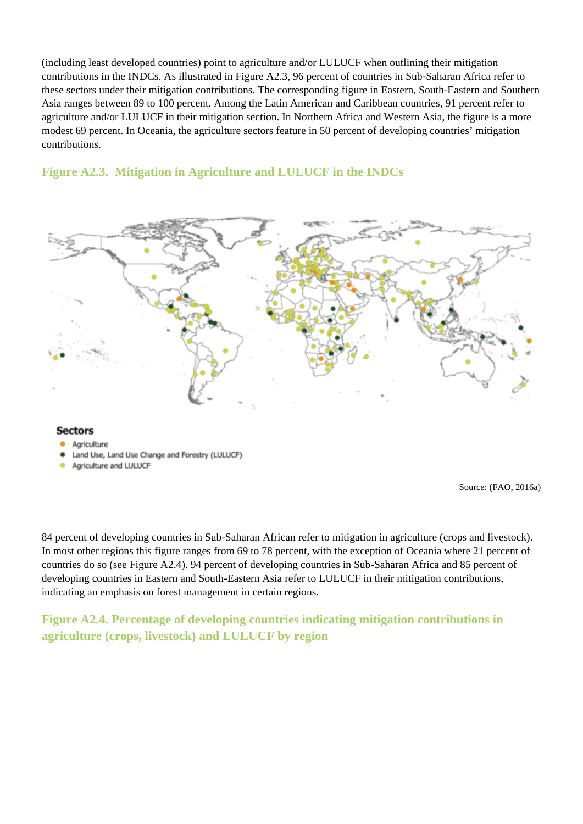(including least developed countries) point to agriculture and/or LULUCF when outlining their mitigation contributions in the INDCs. As illustrated in Figure A2.3, 96 percent of countries in Sub-Saharan Africa refer to these sectors under their mitigation contributions. The corresponding figure in Eastern, South-Eastern and Southern Asia ranges between 89 to 100 percent. Among the Latin American and Caribbean countries, 91 percent refer to agriculture and/or LULUCF in their mitigation section. In Northern Africa and Western Asia, the figure is a more modest 69 percent. In Oceania, the agriculture sectors feature in 50 percent of developing countries' mitigation contributions.

### **Figure A2.3. Mitigation in Agriculture and LULUCF in the INDCs**



#### **Sectors**

- Agriculture
- Land Use, Land Use Change and Forestry (LULUCF)
- Agriculture and LULUCF

Source: (FAO, 2016a)

84 percent of developing countries in Sub-Saharan African refer to mitigation in agriculture (crops and livestock). In most other regions this figure ranges from 69 to 78 percent, with the exception of Oceania where 21 percent of countries do so (see Figure A2.4). 94 percent of developing countries in Sub-Saharan Africa and 85 percent of developing countries in Eastern and South-Eastern Asia refer to LULUCF in their mitigation contributions, indicating an emphasis on forest management in certain regions.

**Figure A2.4. Percentage of developing countries indicating mitigation contributions in agriculture (crops, livestock) and LULUCF by region**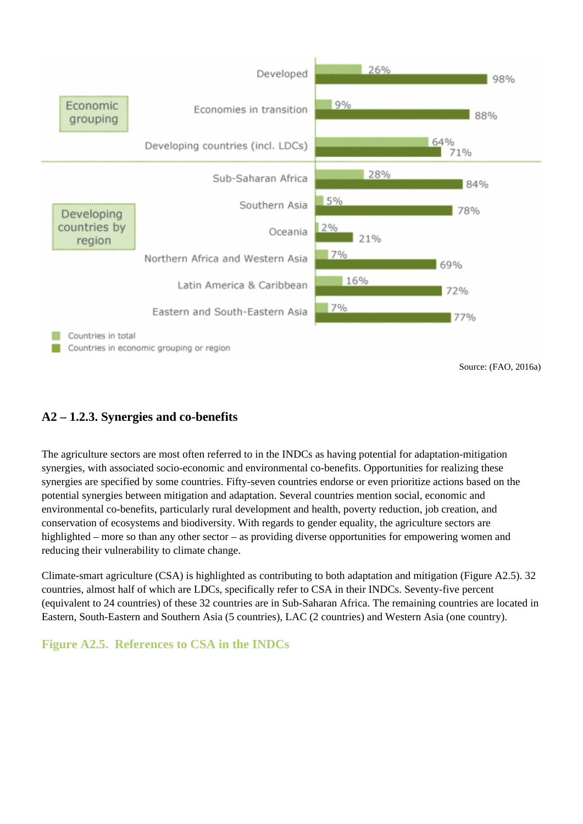

### **A2 – 1.2.3. Synergies and co-benefits**

The agriculture sectors are most often referred to in the INDCs as having potential for adaptation-mitigation synergies, with associated socio-economic and environmental co-benefits. Opportunities for realizing these synergies are specified by some countries. Fifty-seven countries endorse or even prioritize actions based on the potential synergies between mitigation and adaptation. Several countries mention social, economic and environmental co-benefits, particularly rural development and health, poverty reduction, job creation, and conservation of ecosystems and biodiversity. With regards to gender equality, the agriculture sectors are highlighted – more so than any other sector – as providing diverse opportunities for empowering women and reducing their vulnerability to climate change.

Climate-smart agriculture (CSA) is highlighted as contributing to both adaptation and mitigation (Figure A2.5). 32 countries, almost half of which are LDCs, specifically refer to CSA in their INDCs. Seventy-five percent (equivalent to 24 countries) of these 32 countries are in Sub-Saharan Africa. The remaining countries are located in Eastern, South-Eastern and Southern Asia (5 countries), LAC (2 countries) and Western Asia (one country).

### **Figure A2.5. References to CSA in the INDCs**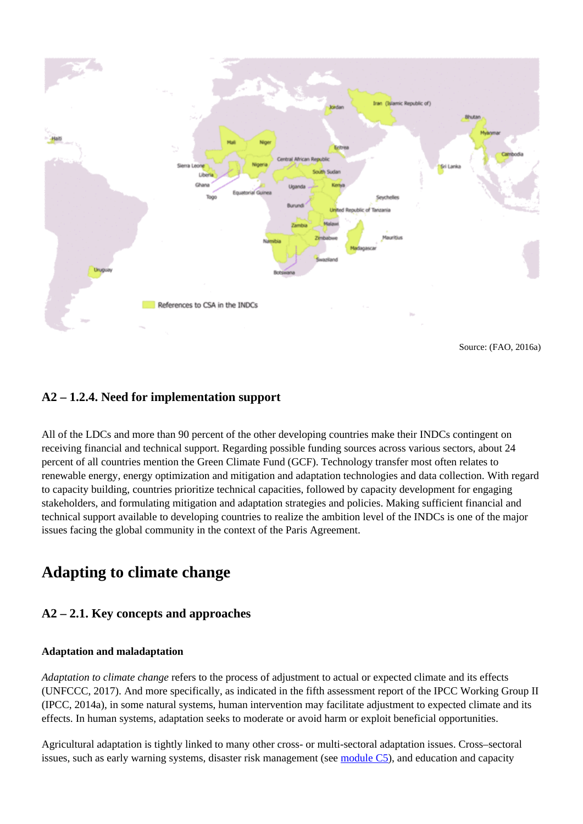

#### **A2 – 1.2.4. Need for implementation support**

All of the LDCs and more than 90 percent of the other developing countries make their INDCs contingent on receiving financial and technical support. Regarding possible funding sources across various sectors, about 24 percent of all countries mention the Green Climate Fund (GCF). Technology transfer most often relates to renewable energy, energy optimization and mitigation and adaptation technologies and data collection. With regard to capacity building, countries prioritize technical capacities, followed by capacity development for engaging stakeholders, and formulating mitigation and adaptation strategies and policies. Making sufficient financial and technical support available to developing countries to realize the ambition level of the INDCs is one of the major issues facing the global community in the context of the Paris Agreement.

### **Adapting to climate change**

#### **A2 – 2.1. Key concepts and approaches**

#### **Adaptation and maladaptation**

*Adaptation to climate change* refers to the process of adjustment to actual or expected climate and its effects (UNFCCC, 2017). And more specifically, as indicated in the fifth assessment report of the IPCC Working Group II (IPCC, 2014a), in some natural systems, human intervention may facilitate adjustment to expected climate and its effects. In human systems, adaptation seeks to moderate or avoid harm or exploit beneficial opportunities.

Agricultural adaptation is tightly linked to many other cross- or multi-sectoral adaptation issues. Cross–sectoral issues, such as early warning systems, disaster risk management (see [module C5\)](http://www.fao.org/climate-smart-agriculture-sourcebook/enabling-frameworks/module-c5-climate-resilience/ar/), and education and capacity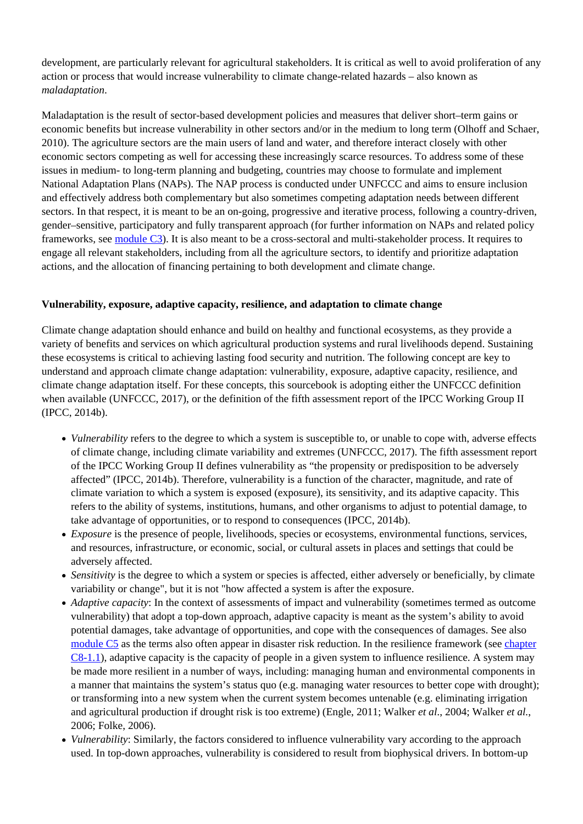development, are particularly relevant for agricultural stakeholders. It is critical as well to avoid proliferation of any action or process that would increase vulnerability to climate change-related hazards – also known as *maladaptation*.

Maladaptation is the result of sector-based development policies and measures that deliver short–term gains or economic benefits but increase vulnerability in other sectors and/or in the medium to long term (Olhoff and Schaer, 2010). The agriculture sectors are the main users of land and water, and therefore interact closely with other economic sectors competing as well for accessing these increasingly scarce resources. To address some of these issues in medium- to long-term planning and budgeting, countries may choose to formulate and implement National Adaptation Plans (NAPs). The NAP process is conducted under UNFCCC and aims to ensure inclusion and effectively address both complementary but also sometimes competing adaptation needs between different sectors. In that respect, it is meant to be an on-going, progressive and iterative process, following a country-driven, gender–sensitive, participatory and fully transparent approach (for further information on NAPs and related policy frameworks, see [module C3\)](http://www.fao.org/climate-smart-agriculture-sourcebook/enabling-frameworks/module-c3-policy/ar/). It is also meant to be a cross-sectoral and multi-stakeholder process. It requires to engage all relevant stakeholders, including from all the agriculture sectors, to identify and prioritize adaptation actions, and the allocation of financing pertaining to both development and climate change.

#### **Vulnerability, exposure, adaptive capacity, resilience, and adaptation to climate change**

Climate change adaptation should enhance and build on healthy and functional ecosystems, as they provide a variety of benefits and services on which agricultural production systems and rural livelihoods depend. Sustaining these ecosystems is critical to achieving lasting food security and nutrition. The following concept are key to understand and approach climate change adaptation: vulnerability, exposure, adaptive capacity, resilience, and climate change adaptation itself. For these concepts, this sourcebook is adopting either the UNFCCC definition when available (UNFCCC, 2017), or the definition of the fifth assessment report of the IPCC Working Group II (IPCC, 2014b).

- *Vulnerability* refers to the degree to which a system is susceptible to, or unable to cope with, adverse effects of climate change, including climate variability and extremes (UNFCCC, 2017). The fifth assessment report of the IPCC Working Group II defines vulnerability as "the propensity or predisposition to be adversely affected" (IPCC, 2014b). Therefore, vulnerability is a function of the character, magnitude, and rate of climate variation to which a system is exposed (exposure), its sensitivity, and its adaptive capacity. This refers to the ability of systems, institutions, humans, and other organisms to adjust to potential damage, to take advantage of opportunities, or to respond to consequences (IPCC, 2014b).
- *Exposure* is the presence of people, livelihoods, species or ecosystems, environmental functions, services, and resources, infrastructure, or economic, social, or cultural assets in places and settings that could be adversely affected.
- *Sensitivity* is the degree to which a system or species is affected, either adversely or beneficially, by climate variability or change", but it is not "how affected a system is after the exposure.
- *Adaptive capacity*: In the context of assessments of impact and vulnerability (sometimes termed as outcome vulnerability) that adopt a top-down approach, adaptive capacity is meant as the system's ability to avoid potential damages, take advantage of opportunities, and cope with the consequences of damages. See also [module C5](http://www.fao.org/climate-smart-agriculture-sourcebook/enabling-frameworks/module-c5-climate-resilience/ar/) as the terms also often appear in disaster risk reduction. In the resilience framework (see [chapter](http://www.fao.org/climate-smart-agriculture-sourcebook/enabling-frameworks/module-c8-impact-assessments/chapter-c8-1/ar/#c554497) [C8-1.1\)](http://www.fao.org/climate-smart-agriculture-sourcebook/enabling-frameworks/module-c8-impact-assessments/chapter-c8-1/ar/#c554497), adaptive capacity is the capacity of people in a given system to influence resilience. A system may be made more resilient in a number of ways, including: managing human and environmental components in a manner that maintains the system's status quo (e.g. managing water resources to better cope with drought); or transforming into a new system when the current system becomes untenable (e.g. eliminating irrigation and agricultural production if drought risk is too extreme) (Engle, 2011; Walker *et al*., 2004; Walker *et al.*, 2006; Folke, 2006).
- *Vulnerability*: Similarly, the factors considered to influence vulnerability vary according to the approach used. In top-down approaches, vulnerability is considered to result from biophysical drivers. In bottom-up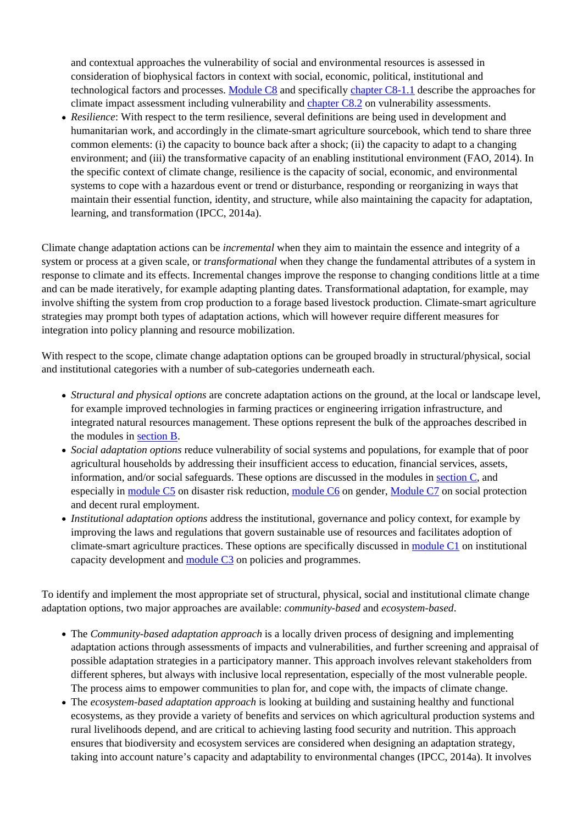and contextual approaches the vulnerability of social and environmental resources is assessed in consideration of biophysical factors in context with social, economic, political, institutional and technological factors and processes. [Module C8](http://www.fao.org/climate-smart-agriculture-sourcebook/enabling-frameworks/module-c8-impact-assessments/ar/) and specifically [chapter C8-1.1](http://www.fao.org/climate-smart-agriculture-sourcebook/enabling-frameworks/module-c8-impact-assessments/chapter-c8-1/ar/) describe the approaches for climate impact assessment including vulnerability and [chapter C8.2](http://www.fao.org/climate-smart-agriculture-sourcebook/enabling-frameworks/module-c8-impact-assessments/chapter-c8-2/ar/) on vulnerability assessments.

*Resilience*: With respect to the term resilience, several definitions are being used in development and humanitarian work, and accordingly in the climate-smart agriculture sourcebook, which tend to share three common elements: (i) the capacity to bounce back after a shock; (ii) the capacity to adapt to a changing environment; and (iii) the transformative capacity of an enabling institutional environment (FAO, 2014). In the specific context of climate change, resilience is the capacity of social, economic, and environmental systems to cope with a hazardous event or trend or disturbance, responding or reorganizing in ways that maintain their essential function, identity, and structure, while also maintaining the capacity for adaptation, learning, and transformation (IPCC, 2014a).

Climate change adaptation actions can be *incremental* when they aim to maintain the essence and integrity of a system or process at a given scale, or *transformational* when they change the fundamental attributes of a system in response to climate and its effects. Incremental changes improve the response to changing conditions little at a time and can be made iteratively, for example adapting planting dates. Transformational adaptation, for example, may involve shifting the system from crop production to a forage based livestock production. Climate-smart agriculture strategies may prompt both types of adaptation actions, which will however require different measures for integration into policy planning and resource mobilization.

With respect to the scope, climate change adaptation options can be grouped broadly in structural/physical, social and institutional categories with a number of sub-categories underneath each.

- *Structural and physical options* are concrete adaptation actions on the ground, at the local or landscape level, for example improved technologies in farming practices or engineering irrigation infrastructure, and integrated natural resources management. These options represent the bulk of the approaches described in the modules in [section B](http://www.fao.org/climate-smart-agriculture-sourcebook/production-resources/ar/).
- *Social adaptation options* reduce vulnerability of social systems and populations, for example that of poor agricultural households by addressing their insufficient access to education, financial services, assets, information, and/or social safeguards. These options are discussed in the modules in [section C](http://www.fao.org/climate-smart-agriculture-sourcebook/enabling-frameworks/ar/), and especially in [module C5](http://www.fao.org/climate-smart-agriculture-sourcebook/enabling-frameworks/module-c5-climate-resilience/ar/) on disaster risk reduction, [module C6](http://www.fao.org/climate-smart-agriculture-sourcebook/enabling-frameworks/module-c6-gender/ar/) on gender, [Module C7](http://www.fao.org/climate-smart-agriculture-sourcebook/enabling-frameworks/module-c7-social-protection/ar/) on social protection and decent rural employment.
- *Institutional adaptation options* address the institutional, governance and policy context, for example by improving the laws and regulations that govern sustainable use of resources and facilitates adoption of climate-smart agriculture practices. These options are specifically discussed in [module C1](http://www.fao.org/climate-smart-agriculture-sourcebook/enabling-frameworks/module-c1-capacity-development/ar/) on institutional capacity development and [module C3](http://www.fao.org/climate-smart-agriculture-sourcebook/enabling-frameworks/module-c3-policy/ar/) on policies and programmes.

To identify and implement the most appropriate set of structural, physical, social and institutional climate change adaptation options, two major approaches are available: *community-based* and *ecosystem-based*.

- The *Community-based adaptation approach* is a locally driven process of designing and implementing adaptation actions through assessments of impacts and vulnerabilities, and further screening and appraisal of possible adaptation strategies in a participatory manner. This approach involves relevant stakeholders from different spheres, but always with inclusive local representation, especially of the most vulnerable people. The process aims to empower communities to plan for, and cope with, the impacts of climate change.
- The *ecosystem-based adaptation approach* is looking at building and sustaining healthy and functional ecosystems, as they provide a variety of benefits and services on which agricultural production systems and rural livelihoods depend, and are critical to achieving lasting food security and nutrition. This approach ensures that biodiversity and ecosystem services are considered when designing an adaptation strategy, taking into account nature's capacity and adaptability to environmental changes (IPCC, 2014a). It involves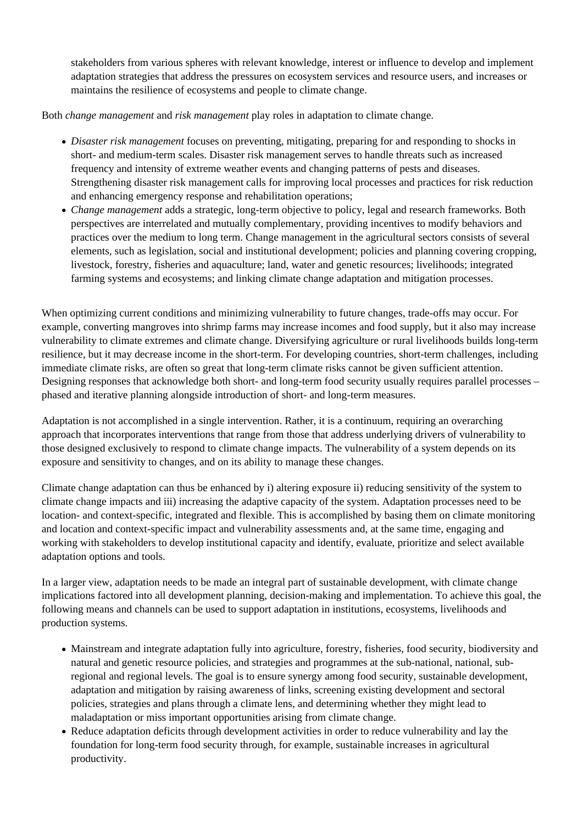stakeholders from various spheres with relevant knowledge, interest or influence to develop and implement adaptation strategies that address the pressures on ecosystem services and resource users, and increases or maintains the resilience of ecosystems and people to climate change.

Both *change management* and *risk management* play roles in adaptation to climate change.

- *Disaster risk management* focuses on preventing, mitigating, preparing for and responding to shocks in short- and medium-term scales. Disaster risk management serves to handle threats such as increased frequency and intensity of extreme weather events and changing patterns of pests and diseases. Strengthening disaster risk management calls for improving local processes and practices for risk reduction and enhancing emergency response and rehabilitation operations;
- *Change management* adds a strategic, long-term objective to policy, legal and research frameworks. Both perspectives are interrelated and mutually complementary, providing incentives to modify behaviors and practices over the medium to long term. Change management in the agricultural sectors consists of several elements, such as legislation, social and institutional development; policies and planning covering cropping, livestock, forestry, fisheries and aquaculture; land, water and genetic resources; livelihoods; integrated farming systems and ecosystems; and linking climate change adaptation and mitigation processes.

When optimizing current conditions and minimizing vulnerability to future changes, trade-offs may occur. For example, converting mangroves into shrimp farms may increase incomes and food supply, but it also may increase vulnerability to climate extremes and climate change. Diversifying agriculture or rural livelihoods builds long-term resilience, but it may decrease income in the short-term. For developing countries, short-term challenges, including immediate climate risks, are often so great that long-term climate risks cannot be given sufficient attention. Designing responses that acknowledge both short- and long-term food security usually requires parallel processes – phased and iterative planning alongside introduction of short- and long-term measures.

Adaptation is not accomplished in a single intervention. Rather, it is a continuum, requiring an overarching approach that incorporates interventions that range from those that address underlying drivers of vulnerability to those designed exclusively to respond to climate change impacts. The vulnerability of a system depends on its exposure and sensitivity to changes, and on its ability to manage these changes.

Climate change adaptation can thus be enhanced by i) altering exposure ii) reducing sensitivity of the system to climate change impacts and iii) increasing the adaptive capacity of the system. Adaptation processes need to be location- and context-specific, integrated and flexible. This is accomplished by basing them on climate monitoring and location and context-specific impact and vulnerability assessments and, at the same time, engaging and working with stakeholders to develop institutional capacity and identify, evaluate, prioritize and select available adaptation options and tools.

In a larger view, adaptation needs to be made an integral part of sustainable development, with climate change implications factored into all development planning, decision-making and implementation. To achieve this goal, the following means and channels can be used to support adaptation in institutions, ecosystems, livelihoods and production systems.

- Mainstream and integrate adaptation fully into agriculture, forestry, fisheries, food security, biodiversity and natural and genetic resource policies, and strategies and programmes at the sub-national, national, subregional and regional levels. The goal is to ensure synergy among food security, sustainable development, adaptation and mitigation by raising awareness of links, screening existing development and sectoral policies, strategies and plans through a climate lens, and determining whether they might lead to maladaptation or miss important opportunities arising from climate change.
- Reduce adaptation deficits through development activities in order to reduce vulnerability and lay the foundation for long-term food security through, for example, sustainable increases in agricultural productivity.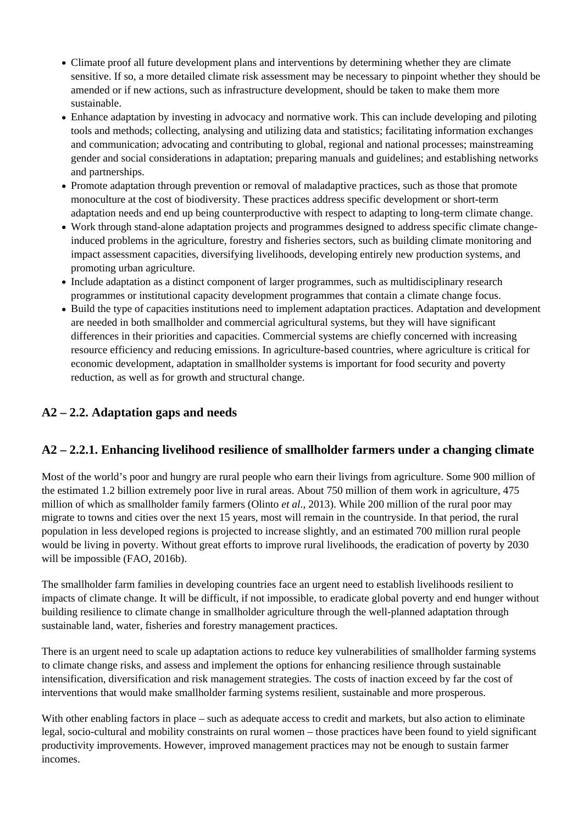- Climate proof all future development plans and interventions by determining whether they are climate sensitive. If so, a more detailed climate risk assessment may be necessary to pinpoint whether they should be amended or if new actions, such as infrastructure development, should be taken to make them more sustainable.
- Enhance adaptation by investing in advocacy and normative work. This can include developing and piloting tools and methods; collecting, analysing and utilizing data and statistics; facilitating information exchanges and communication; advocating and contributing to global, regional and national processes; mainstreaming gender and social considerations in adaptation; preparing manuals and guidelines; and establishing networks and partnerships.
- Promote adaptation through prevention or removal of maladaptive practices, such as those that promote monoculture at the cost of biodiversity. These practices address specific development or short-term adaptation needs and end up being counterproductive with respect to adapting to long-term climate change.
- Work through stand-alone adaptation projects and programmes designed to address specific climate changeinduced problems in the agriculture, forestry and fisheries sectors, such as building climate monitoring and impact assessment capacities, diversifying livelihoods, developing entirely new production systems, and promoting urban agriculture.
- Include adaptation as a distinct component of larger programmes, such as multidisciplinary research programmes or institutional capacity development programmes that contain a climate change focus.
- Build the type of capacities institutions need to implement adaptation practices. Adaptation and development are needed in both smallholder and commercial agricultural systems, but they will have significant differences in their priorities and capacities. Commercial systems are chiefly concerned with increasing resource efficiency and reducing emissions. In agriculture-based countries, where agriculture is critical for economic development, adaptation in smallholder systems is important for food security and poverty reduction, as well as for growth and structural change.

### **A2 – 2.2. Adaptation gaps and needs**

### **A2 – 2.2.1. Enhancing livelihood resilience of smallholder farmers under a changing climate**

Most of the world's poor and hungry are rural people who earn their livings from agriculture. Some 900 million of the estimated 1.2 billion extremely poor live in rural areas. About 750 million of them work in agriculture, 475 million of which as smallholder family farmers (Olinto *et al*., 2013). While 200 million of the rural poor may migrate to towns and cities over the next 15 years, most will remain in the countryside. In that period, the rural population in less developed regions is projected to increase slightly, and an estimated 700 million rural people would be living in poverty. Without great efforts to improve rural livelihoods, the eradication of poverty by 2030 will be impossible (FAO, 2016b).

The smallholder farm families in developing countries face an urgent need to establish livelihoods resilient to impacts of climate change. It will be difficult, if not impossible, to eradicate global poverty and end hunger without building resilience to climate change in smallholder agriculture through the well-planned adaptation through sustainable land, water, fisheries and forestry management practices.

There is an urgent need to scale up adaptation actions to reduce key vulnerabilities of smallholder farming systems to climate change risks, and assess and implement the options for enhancing resilience through sustainable intensification, diversification and risk management strategies. The costs of inaction exceed by far the cost of interventions that would make smallholder farming systems resilient, sustainable and more prosperous.

With other enabling factors in place – such as adequate access to credit and markets, but also action to eliminate legal, socio-cultural and mobility constraints on rural women – those practices have been found to yield significant productivity improvements. However, improved management practices may not be enough to sustain farmer incomes.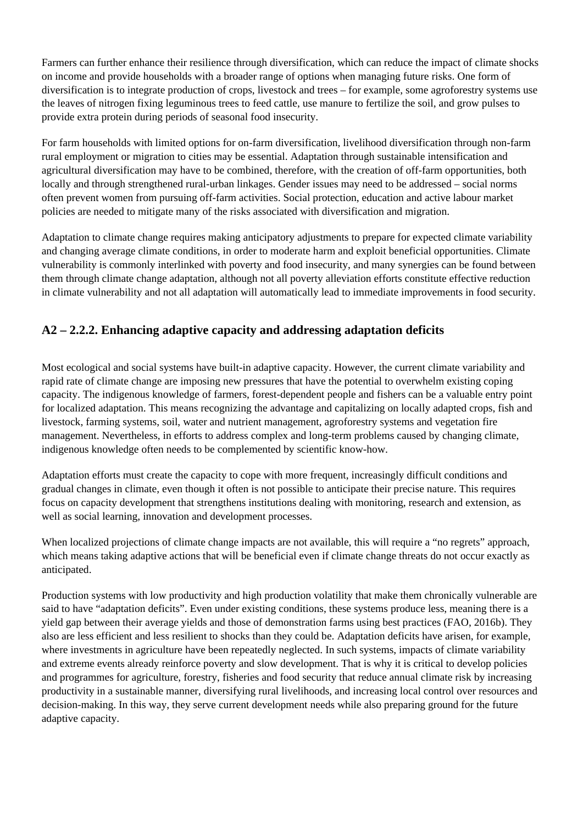Farmers can further enhance their resilience through diversification, which can reduce the impact of climate shocks on income and provide households with a broader range of options when managing future risks. One form of diversification is to integrate production of crops, livestock and trees – for example, some agroforestry systems use the leaves of nitrogen fixing leguminous trees to feed cattle, use manure to fertilize the soil, and grow pulses to provide extra protein during periods of seasonal food insecurity.

For farm households with limited options for on-farm diversification, livelihood diversification through non-farm rural employment or migration to cities may be essential. Adaptation through sustainable intensification and agricultural diversification may have to be combined, therefore, with the creation of off-farm opportunities, both locally and through strengthened rural-urban linkages. Gender issues may need to be addressed – social norms often prevent women from pursuing off-farm activities. Social protection, education and active labour market policies are needed to mitigate many of the risks associated with diversification and migration.

Adaptation to climate change requires making anticipatory adjustments to prepare for expected climate variability and changing average climate conditions, in order to moderate harm and exploit beneficial opportunities. Climate vulnerability is commonly interlinked with poverty and food insecurity, and many synergies can be found between them through climate change adaptation, although not all poverty alleviation efforts constitute effective reduction in climate vulnerability and not all adaptation will automatically lead to immediate improvements in food security.

### **A2 – 2.2.2. Enhancing adaptive capacity and addressing adaptation deficits**

Most ecological and social systems have built-in adaptive capacity. However, the current climate variability and rapid rate of climate change are imposing new pressures that have the potential to overwhelm existing coping capacity. The indigenous knowledge of farmers, forest-dependent people and fishers can be a valuable entry point for localized adaptation. This means recognizing the advantage and capitalizing on locally adapted crops, fish and livestock, farming systems, soil, water and nutrient management, agroforestry systems and vegetation fire management. Nevertheless, in efforts to address complex and long-term problems caused by changing climate, indigenous knowledge often needs to be complemented by scientific know-how.

Adaptation efforts must create the capacity to cope with more frequent, increasingly difficult conditions and gradual changes in climate, even though it often is not possible to anticipate their precise nature. This requires focus on capacity development that strengthens institutions dealing with monitoring, research and extension, as well as social learning, innovation and development processes.

When localized projections of climate change impacts are not available, this will require a "no regrets" approach, which means taking adaptive actions that will be beneficial even if climate change threats do not occur exactly as anticipated.

Production systems with low productivity and high production volatility that make them chronically vulnerable are said to have "adaptation deficits". Even under existing conditions, these systems produce less, meaning there is a yield gap between their average yields and those of demonstration farms using best practices (FAO, 2016b). They also are less efficient and less resilient to shocks than they could be. Adaptation deficits have arisen, for example, where investments in agriculture have been repeatedly neglected. In such systems, impacts of climate variability and extreme events already reinforce poverty and slow development. That is why it is critical to develop policies and programmes for agriculture, forestry, fisheries and food security that reduce annual climate risk by increasing productivity in a sustainable manner, diversifying rural livelihoods, and increasing local control over resources and decision-making. In this way, they serve current development needs while also preparing ground for the future adaptive capacity.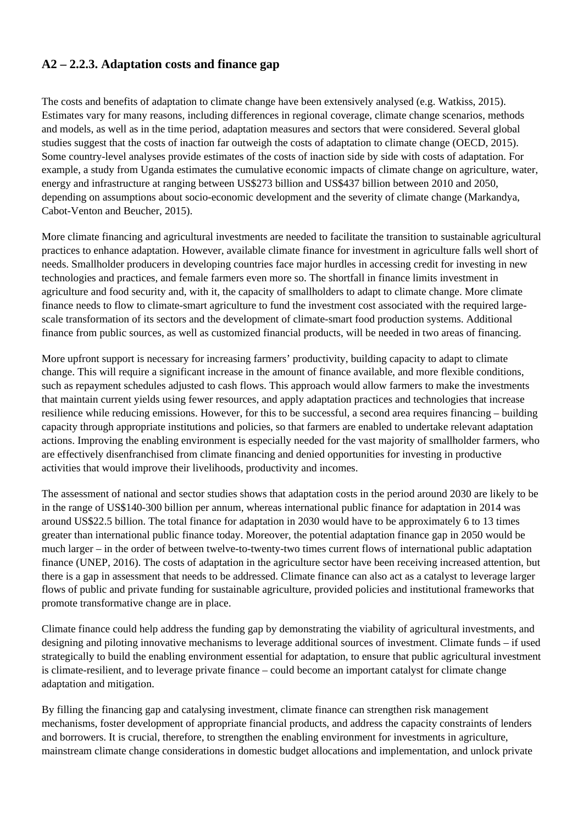### **A2 – 2.2.3. Adaptation costs and finance gap**

The costs and benefits of adaptation to climate change have been extensively analysed (e.g. Watkiss, 2015). Estimates vary for many reasons, including differences in regional coverage, climate change scenarios, methods and models, as well as in the time period, adaptation measures and sectors that were considered. Several global studies suggest that the costs of inaction far outweigh the costs of adaptation to climate change (OECD, 2015). Some country-level analyses provide estimates of the costs of inaction side by side with costs of adaptation. For example, a study from Uganda estimates the cumulative economic impacts of climate change on agriculture, water, energy and infrastructure at ranging between US\$273 billion and US\$437 billion between 2010 and 2050, depending on assumptions about socio-economic development and the severity of climate change (Markandya, Cabot-Venton and Beucher, 2015).

More climate financing and agricultural investments are needed to facilitate the transition to sustainable agricultural practices to enhance adaptation. However, available climate finance for investment in agriculture falls well short of needs. Smallholder producers in developing countries face major hurdles in accessing credit for investing in new technologies and practices, and female farmers even more so. The shortfall in finance limits investment in agriculture and food security and, with it, the capacity of smallholders to adapt to climate change. More climate finance needs to flow to climate-smart agriculture to fund the investment cost associated with the required largescale transformation of its sectors and the development of climate-smart food production systems. Additional finance from public sources, as well as customized financial products, will be needed in two areas of financing.

More upfront support is necessary for increasing farmers' productivity, building capacity to adapt to climate change. This will require a significant increase in the amount of finance available, and more flexible conditions, such as repayment schedules adjusted to cash flows. This approach would allow farmers to make the investments that maintain current yields using fewer resources, and apply adaptation practices and technologies that increase resilience while reducing emissions. However, for this to be successful, a second area requires financing – building capacity through appropriate institutions and policies, so that farmers are enabled to undertake relevant adaptation actions. Improving the enabling environment is especially needed for the vast majority of smallholder farmers, who are effectively disenfranchised from climate financing and denied opportunities for investing in productive activities that would improve their livelihoods, productivity and incomes.

The assessment of national and sector studies shows that adaptation costs in the period around 2030 are likely to be in the range of US\$140-300 billion per annum, whereas international public finance for adaptation in 2014 was around US\$22.5 billion. The total finance for adaptation in 2030 would have to be approximately 6 to 13 times greater than international public finance today. Moreover, the potential adaptation finance gap in 2050 would be much larger – in the order of between twelve-to-twenty-two times current flows of international public adaptation finance (UNEP, 2016). The costs of adaptation in the agriculture sector have been receiving increased attention, but there is a gap in assessment that needs to be addressed. Climate finance can also act as a catalyst to leverage larger flows of public and private funding for sustainable agriculture, provided policies and institutional frameworks that promote transformative change are in place.

Climate finance could help address the funding gap by demonstrating the viability of agricultural investments, and designing and piloting innovative mechanisms to leverage additional sources of investment. Climate funds – if used strategically to build the enabling environment essential for adaptation, to ensure that public agricultural investment is climate-resilient, and to leverage private finance – could become an important catalyst for climate change adaptation and mitigation.

By filling the financing gap and catalysing investment, climate finance can strengthen risk management mechanisms, foster development of appropriate financial products, and address the capacity constraints of lenders and borrowers. It is crucial, therefore, to strengthen the enabling environment for investments in agriculture, mainstream climate change considerations in domestic budget allocations and implementation, and unlock private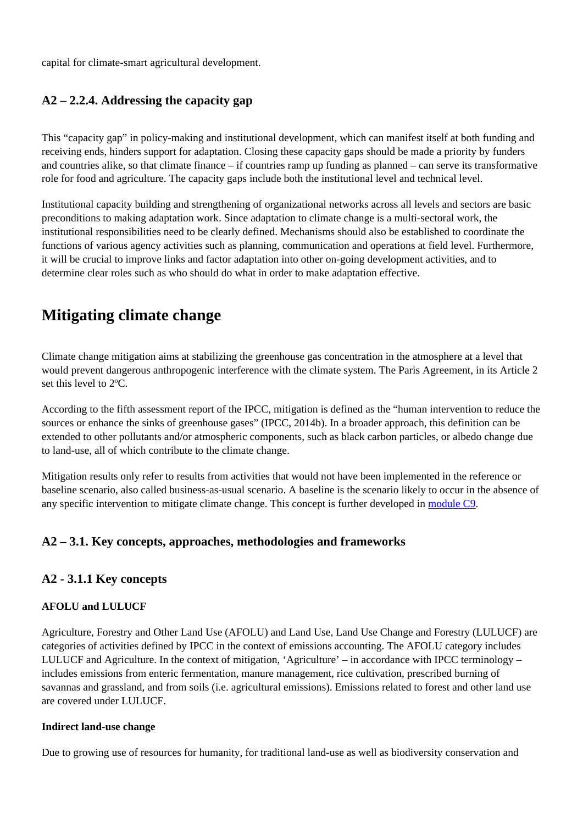capital for climate-smart agricultural development.

### **A2 – 2.2.4. Addressing the capacity gap**

This "capacity gap" in policy-making and institutional development, which can manifest itself at both funding and receiving ends, hinders support for adaptation. Closing these capacity gaps should be made a priority by funders and countries alike, so that climate finance – if countries ramp up funding as planned – can serve its transformative role for food and agriculture. The capacity gaps include both the institutional level and technical level.

Institutional capacity building and strengthening of organizational networks across all levels and sectors are basic preconditions to making adaptation work. Since adaptation to climate change is a multi-sectoral work, the institutional responsibilities need to be clearly defined. Mechanisms should also be established to coordinate the functions of various agency activities such as planning, communication and operations at field level. Furthermore, it will be crucial to improve links and factor adaptation into other on-going development activities, and to determine clear roles such as who should do what in order to make adaptation effective.

# **Mitigating climate change**

Climate change mitigation aims at stabilizing the greenhouse gas concentration in the atmosphere at a level that would prevent dangerous anthropogenic interference with the climate system. The Paris Agreement, in its Article 2 set this level to 2ºC.

According to the fifth assessment report of the IPCC, mitigation is defined as the "human intervention to reduce the sources or enhance the sinks of greenhouse gases" (IPCC, 2014b). In a broader approach, this definition can be extended to other pollutants and/or atmospheric components, such as black carbon particles, or albedo change due to land-use, all of which contribute to the climate change.

Mitigation results only refer to results from activities that would not have been implemented in the reference or baseline scenario, also called business-as-usual scenario. A baseline is the scenario likely to occur in the absence of any specific intervention to mitigate climate change. This concept is further developed in [module C9.](http://www.fao.org/climate-smart-agriculture-sourcebook/enabling-frameworks/module-c9-monitoring-evaluation/ar/)

### **A2 – 3.1. Key concepts, approaches, methodologies and frameworks**

#### **A2 - 3.1.1 Key concepts**

#### **AFOLU and LULUCF**

Agriculture, Forestry and Other Land Use (AFOLU) and Land Use, Land Use Change and Forestry (LULUCF) are categories of activities defined by IPCC in the context of emissions accounting. The AFOLU category includes LULUCF and Agriculture. In the context of mitigation, 'Agriculture' – in accordance with IPCC terminology – includes emissions from enteric fermentation, manure management, rice cultivation, prescribed burning of savannas and grassland, and from soils (i.e. agricultural emissions). Emissions related to forest and other land use are covered under LULUCF.

#### **Indirect land-use change**

Due to growing use of resources for humanity, for traditional land-use as well as biodiversity conservation and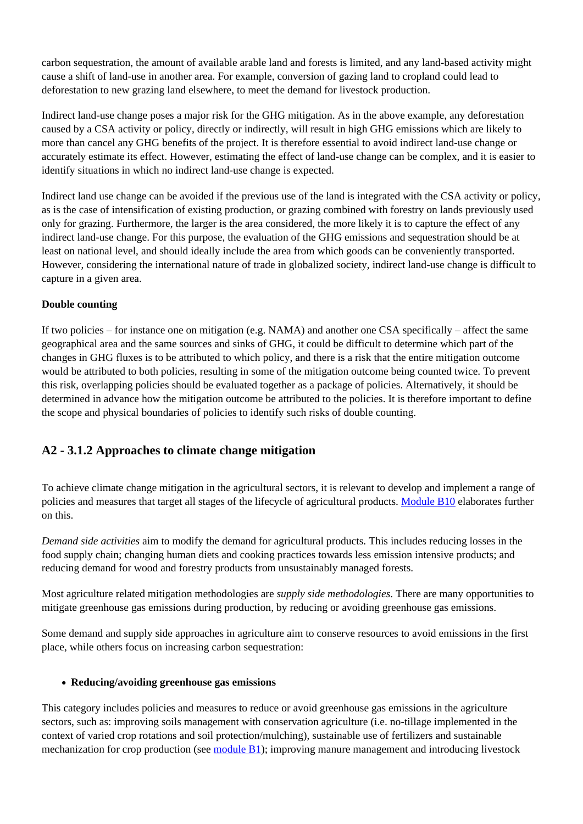carbon sequestration, the amount of available arable land and forests is limited, and any land-based activity might cause a shift of land-use in another area. For example, conversion of gazing land to cropland could lead to deforestation to new grazing land elsewhere, to meet the demand for livestock production.

Indirect land-use change poses a major risk for the GHG mitigation. As in the above example, any deforestation caused by a CSA activity or policy, directly or indirectly, will result in high GHG emissions which are likely to more than cancel any GHG benefits of the project. It is therefore essential to avoid indirect land-use change or accurately estimate its effect. However, estimating the effect of land-use change can be complex, and it is easier to identify situations in which no indirect land-use change is expected.

Indirect land use change can be avoided if the previous use of the land is integrated with the CSA activity or policy, as is the case of intensification of existing production, or grazing combined with forestry on lands previously used only for grazing. Furthermore, the larger is the area considered, the more likely it is to capture the effect of any indirect land-use change. For this purpose, the evaluation of the GHG emissions and sequestration should be at least on national level, and should ideally include the area from which goods can be conveniently transported. However, considering the international nature of trade in globalized society, indirect land-use change is difficult to capture in a given area.

#### **Double counting**

If two policies – for instance one on mitigation (e.g. NAMA) and another one CSA specifically – affect the same geographical area and the same sources and sinks of GHG, it could be difficult to determine which part of the changes in GHG fluxes is to be attributed to which policy, and there is a risk that the entire mitigation outcome would be attributed to both policies, resulting in some of the mitigation outcome being counted twice. To prevent this risk, overlapping policies should be evaluated together as a package of policies. Alternatively, it should be determined in advance how the mitigation outcome be attributed to the policies. It is therefore important to define the scope and physical boundaries of policies to identify such risks of double counting.

### **A2 - 3.1.2 Approaches to climate change mitigation**

To achieve climate change mitigation in the agricultural sectors, it is relevant to develop and implement a range of policies and measures that target all stages of the lifecycle of agricultural products. [Module B10](http://www.fao.org/climate-smart-agriculture-sourcebook/production-resources/module-b10-value-chains/ar/) elaborates further on this.

*Demand side activities* aim to modify the demand for agricultural products. This includes reducing losses in the food supply chain; changing human diets and cooking practices towards less emission intensive products; and reducing demand for wood and forestry products from unsustainably managed forests.

Most agriculture related mitigation methodologies are *supply side methodologies*. There are many opportunities to mitigate greenhouse gas emissions during production, by reducing or avoiding greenhouse gas emissions.

Some demand and supply side approaches in agriculture aim to conserve resources to avoid emissions in the first place, while others focus on increasing carbon sequestration:

#### **Reducing/avoiding greenhouse gas emissions**

This category includes policies and measures to reduce or avoid greenhouse gas emissions in the agriculture sectors, such as: improving soils management with conservation agriculture (i.e. no-tillage implemented in the context of varied crop rotations and soil protection/mulching), sustainable use of fertilizers and sustainable mechanization for crop production (see [module B1\)](http://www.fao.org/climate-smart-agriculture-sourcebook/production-resources/module-b1-crops/ar/); improving manure management and introducing livestock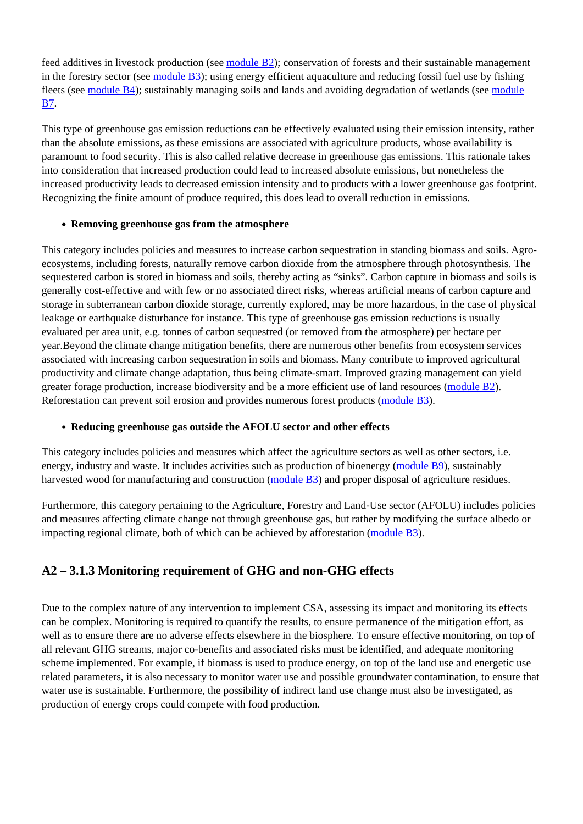feed additives in livestock production (see [module B2\)](http://www.fao.org/climate-smart-agriculture-sourcebook/production-resources/module-b2-livestock/ar/); conservation of forests and their sustainable management in the forestry sector (see [module B3](http://www.fao.org/climate-smart-agriculture-sourcebook/production-resources/module-b3-forestry/ar/)); using energy efficient aquaculture and reducing fossil fuel use by fishing fleets (see [module B4](http://www.fao.org/climate-smart-agriculture-sourcebook/production-resources/module-b4-fisheries/ar/)); sustainably managing soils and lands and avoiding degradation of wetlands (see [module](http://www.fao.org/climate-smart-agriculture-sourcebook/production-resources/module-b7-soil/ar/) [B7](http://www.fao.org/climate-smart-agriculture-sourcebook/production-resources/module-b7-soil/ar/).

This type of greenhouse gas emission reductions can be effectively evaluated using their emission intensity, rather than the absolute emissions, as these emissions are associated with agriculture products, whose availability is paramount to food security. This is also called relative decrease in greenhouse gas emissions. This rationale takes into consideration that increased production could lead to increased absolute emissions, but nonetheless the increased productivity leads to decreased emission intensity and to products with a lower greenhouse gas footprint. Recognizing the finite amount of produce required, this does lead to overall reduction in emissions.

#### **Removing greenhouse gas from the atmosphere**

This category includes policies and measures to increase carbon sequestration in standing biomass and soils. Agroecosystems, including forests, naturally remove carbon dioxide from the atmosphere through photosynthesis. The sequestered carbon is stored in biomass and soils, thereby acting as "sinks". Carbon capture in biomass and soils is generally cost-effective and with few or no associated direct risks, whereas artificial means of carbon capture and storage in subterranean carbon dioxide storage, currently explored, may be more hazardous, in the case of physical leakage or earthquake disturbance for instance. This type of greenhouse gas emission reductions is usually evaluated per area unit, e.g. tonnes of carbon sequestred (or removed from the atmosphere) per hectare per year.Beyond the climate change mitigation benefits, there are numerous other benefits from ecosystem services associated with increasing carbon sequestration in soils and biomass. Many contribute to improved agricultural productivity and climate change adaptation, thus being climate-smart. Improved grazing management can yield greater forage production, increase biodiversity and be a more efficient use of land resources [\(module B2\)](http://www.fao.org/climate-smart-agriculture-sourcebook/production-resources/module-b2-livestock/ar/). Reforestation can prevent soil erosion and provides numerous forest products ([module B3](http://www.fao.org/climate-smart-agriculture-sourcebook/production-resources/module-b3-forestry/ar/)).

#### **Reducing greenhouse gas outside the AFOLU sector and other effects**

This category includes policies and measures which affect the agriculture sectors as well as other sectors, i.e. energy, industry and waste. It includes activities such as production of bioenergy ([module B9](http://www.fao.org/climate-smart-agriculture-sourcebook/production-resources/module-b9-energy/ar/)), sustainably harvested wood for manufacturing and construction ([module B3](http://www.fao.org/climate-smart-agriculture-sourcebook/production-resources/module-b3-forestry/ar/)) and proper disposal of agriculture residues.

Furthermore, this category pertaining to the Agriculture, Forestry and Land-Use sector (AFOLU) includes policies and measures affecting climate change not through greenhouse gas, but rather by modifying the surface albedo or impacting regional climate, both of which can be achieved by afforestation ([module B3](http://www.fao.org/climate-smart-agriculture-sourcebook/production-resources/module-b3-forestry/ar/)).

### **A2 – 3.1.3 Monitoring requirement of GHG and non-GHG effects**

Due to the complex nature of any intervention to implement CSA, assessing its impact and monitoring its effects can be complex. Monitoring is required to quantify the results, to ensure permanence of the mitigation effort, as well as to ensure there are no adverse effects elsewhere in the biosphere. To ensure effective monitoring, on top of all relevant GHG streams, major co-benefits and associated risks must be identified, and adequate monitoring scheme implemented. For example, if biomass is used to produce energy, on top of the land use and energetic use related parameters, it is also necessary to monitor water use and possible groundwater contamination, to ensure that water use is sustainable. Furthermore, the possibility of indirect land use change must also be investigated, as production of energy crops could compete with food production.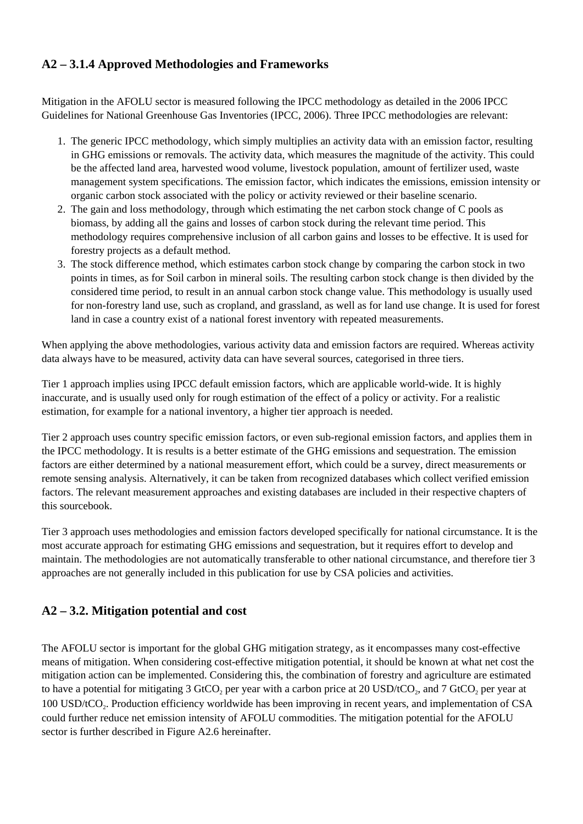### **A2 – 3.1.4 Approved Methodologies and Frameworks**

Mitigation in the AFOLU sector is measured following the IPCC methodology as detailed in the 2006 IPCC Guidelines for National Greenhouse Gas Inventories (IPCC, 2006). Three IPCC methodologies are relevant:

- 1. The generic IPCC methodology, which simply multiplies an activity data with an emission factor, resulting in GHG emissions or removals. The activity data, which measures the magnitude of the activity. This could be the affected land area, harvested wood volume, livestock population, amount of fertilizer used, waste management system specifications. The emission factor, which indicates the emissions, emission intensity or organic carbon stock associated with the policy or activity reviewed or their baseline scenario.
- 2. The gain and loss methodology, through which estimating the net carbon stock change of C pools as biomass, by adding all the gains and losses of carbon stock during the relevant time period. This methodology requires comprehensive inclusion of all carbon gains and losses to be effective. It is used for forestry projects as a default method.
- 3. The stock difference method, which estimates carbon stock change by comparing the carbon stock in two points in times, as for Soil carbon in mineral soils. The resulting carbon stock change is then divided by the considered time period, to result in an annual carbon stock change value. This methodology is usually used for non-forestry land use, such as cropland, and grassland, as well as for land use change. It is used for forest land in case a country exist of a national forest inventory with repeated measurements.

When applying the above methodologies, various activity data and emission factors are required. Whereas activity data always have to be measured, activity data can have several sources, categorised in three tiers.

Tier 1 approach implies using IPCC default emission factors, which are applicable world-wide. It is highly inaccurate, and is usually used only for rough estimation of the effect of a policy or activity. For a realistic estimation, for example for a national inventory, a higher tier approach is needed.

Tier 2 approach uses country specific emission factors, or even sub-regional emission factors, and applies them in the IPCC methodology. It is results is a better estimate of the GHG emissions and sequestration. The emission factors are either determined by a national measurement effort, which could be a survey, direct measurements or remote sensing analysis. Alternatively, it can be taken from recognized databases which collect verified emission factors. The relevant measurement approaches and existing databases are included in their respective chapters of this sourcebook.

Tier 3 approach uses methodologies and emission factors developed specifically for national circumstance. It is the most accurate approach for estimating GHG emissions and sequestration, but it requires effort to develop and maintain. The methodologies are not automatically transferable to other national circumstance, and therefore tier 3 approaches are not generally included in this publication for use by CSA policies and activities.

### **A2 – 3.2. Mitigation potential and cost**

The AFOLU sector is important for the global GHG mitigation strategy, as it encompasses many cost-effective means of mitigation. When considering cost-effective mitigation potential, it should be known at what net cost the mitigation action can be implemented. Considering this, the combination of forestry and agriculture are estimated to have a potential for mitigating 3 GtCO<sub>2</sub> per year with a carbon price at 20 USD/tCO<sub>2</sub>, and 7 GtCO<sub>2</sub> per year at 100 USD/tCO<sub>2</sub>. Production efficiency worldwide has been improving in recent years, and implementation of CSA could further reduce net emission intensity of AFOLU commodities. The mitigation potential for the AFOLU sector is further described in Figure A2.6 hereinafter.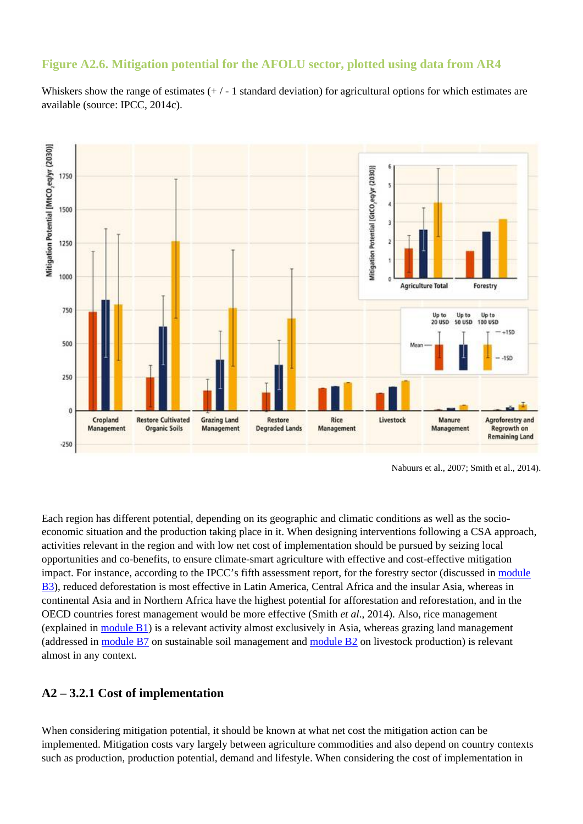#### **Figure A2.6. Mitigation potential for the AFOLU sector, plotted using data from AR4**

Whiskers show the range of estimates  $(+/-1)$  standard deviation) for agricultural options for which estimates are available (source: IPCC, 2014c).



Nabuurs et al., 2007; Smith et al., 2014).

Each region has different potential, depending on its geographic and climatic conditions as well as the socioeconomic situation and the production taking place in it. When designing interventions following a CSA approach, activities relevant in the region and with low net cost of implementation should be pursued by seizing local opportunities and co-benefits, to ensure climate-smart agriculture with effective and cost-effective mitigation impact. For instance, according to the IPCC's fifth assessment report, for the forestry sector (discussed in [module](http://www.fao.org/climate-smart-agriculture-sourcebook/production-resources/module-b3-forestry/ar/) [B3](http://www.fao.org/climate-smart-agriculture-sourcebook/production-resources/module-b3-forestry/ar/)), reduced deforestation is most effective in Latin America, Central Africa and the insular Asia, whereas in continental Asia and in Northern Africa have the highest potential for afforestation and reforestation, and in the OECD countries forest management would be more effective (Smith *et al*., 2014). Also, rice management (explained in [module B1\)](http://www.fao.org/climate-smart-agriculture-sourcebook/production-resources/module-b1-crops/ar/) is a relevant activity almost exclusively in Asia, whereas grazing land management (addressed in [module B7](http://www.fao.org/climate-smart-agriculture-sourcebook/production-resources/module-b7-soil/ar/) on sustainable soil management and [module B2](http://www.fao.org/climate-smart-agriculture-sourcebook/production-resources/module-b2-livestock/ar/) on livestock production) is relevant almost in any context.

#### **A2 – 3.2.1 Cost of implementation**

When considering mitigation potential, it should be known at what net cost the mitigation action can be implemented. Mitigation costs vary largely between agriculture commodities and also depend on country contexts such as production, production potential, demand and lifestyle. When considering the cost of implementation in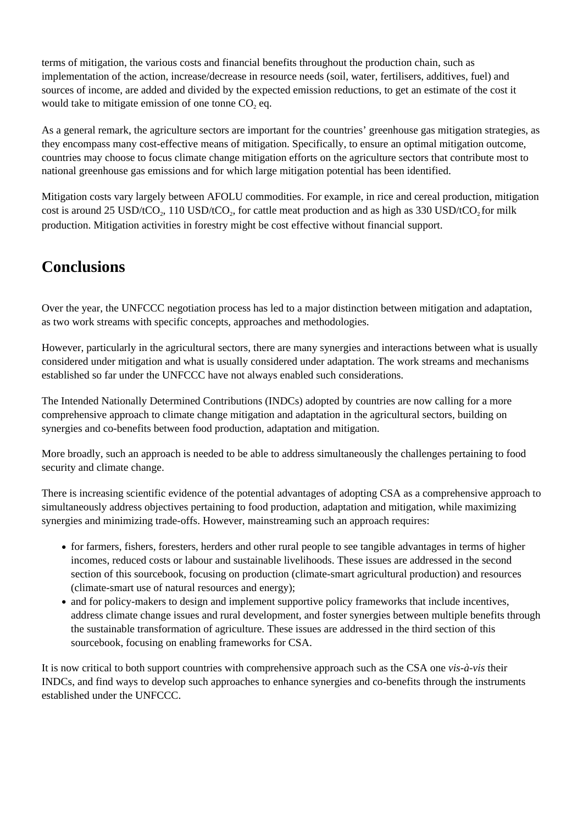terms of mitigation, the various costs and financial benefits throughout the production chain, such as implementation of the action, increase/decrease in resource needs (soil, water, fertilisers, additives, fuel) and sources of income, are added and divided by the expected emission reductions, to get an estimate of the cost it would take to mitigate emission of one tonne  $CO<sub>2</sub>$  eq.

As a general remark, the agriculture sectors are important for the countries' greenhouse gas mitigation strategies, as they encompass many cost-effective means of mitigation. Specifically, to ensure an optimal mitigation outcome, countries may choose to focus climate change mitigation efforts on the agriculture sectors that contribute most to national greenhouse gas emissions and for which large mitigation potential has been identified.

Mitigation costs vary largely between AFOLU commodities. For example, in rice and cereal production, mitigation cost is around 25 USD/tCO<sub>2</sub>, 110 USD/tCO<sub>2</sub>, for cattle meat production and as high as 330 USD/tCO<sub>2</sub> for milk production. Mitigation activities in forestry might be cost effective without financial support.

# **Conclusions**

Over the year, the UNFCCC negotiation process has led to a major distinction between mitigation and adaptation, as two work streams with specific concepts, approaches and methodologies.

However, particularly in the agricultural sectors, there are many synergies and interactions between what is usually considered under mitigation and what is usually considered under adaptation. The work streams and mechanisms established so far under the UNFCCC have not always enabled such considerations.

The Intended Nationally Determined Contributions (INDCs) adopted by countries are now calling for a more comprehensive approach to climate change mitigation and adaptation in the agricultural sectors, building on synergies and co-benefits between food production, adaptation and mitigation.

More broadly, such an approach is needed to be able to address simultaneously the challenges pertaining to food security and climate change.

There is increasing scientific evidence of the potential advantages of adopting CSA as a comprehensive approach to simultaneously address objectives pertaining to food production, adaptation and mitigation, while maximizing synergies and minimizing trade-offs. However, mainstreaming such an approach requires:

- for farmers, fishers, foresters, herders and other rural people to see tangible advantages in terms of higher incomes, reduced costs or labour and sustainable livelihoods. These issues are addressed in the second section of this sourcebook, focusing on production (climate-smart agricultural production) and resources (climate-smart use of natural resources and energy);
- and for policy-makers to design and implement supportive policy frameworks that include incentives, address climate change issues and rural development, and foster synergies between multiple benefits through the sustainable transformation of agriculture. These issues are addressed in the third section of this sourcebook, focusing on enabling frameworks for CSA.

It is now critical to both support countries with comprehensive approach such as the CSA one *vis-à-vis* their INDCs, and find ways to develop such approaches to enhance synergies and co-benefits through the instruments established under the UNFCCC.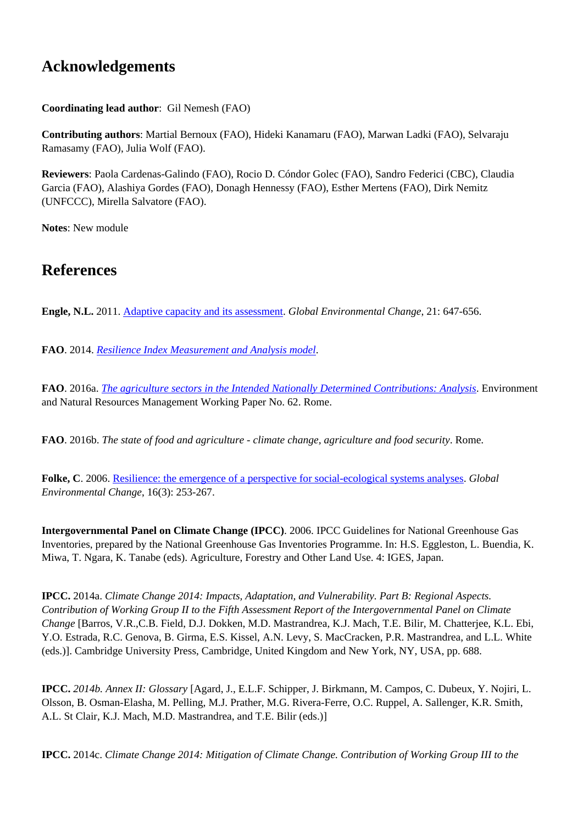# **Acknowledgements**

**Coordinating lead author**: Gil Nemesh (FAO)

**Contributing authors**: Martial Bernoux (FAO), Hideki Kanamaru (FAO), Marwan Ladki (FAO), Selvaraju Ramasamy (FAO), Julia Wolf (FAO).

**Reviewers**: Paola Cardenas-Galindo (FAO), Rocio D. Cóndor Golec (FAO), Sandro Federici (CBC), Claudia Garcia (FAO), Alashiya Gordes (FAO), Donagh Hennessy (FAO), Esther Mertens (FAO), Dirk Nemitz (UNFCCC), Mirella Salvatore (FAO).

**Notes**: New module

## **References**

**Engle, N.L.** 2011. [Adaptive capacity and its assessment](http://dx.doi.org/10.1016/j.). *Global Environmental Change*, 21: 647-656.

**FAO**. 2014. *[Resilience Index Measurement and Analysis model](http://www.fao.org/3/a-i4102e.pdf)*.

**FAO**. 2016a. *[The agriculture sectors in the Intended Nationally Determined Contributions: Analysis](http://www.fao.org/3/a-i5687e.pdf)*. Environment and Natural Resources Management Working Paper No. 62. Rome.

**FAO**. 2016b. *The state of food and agriculture - climate change, agriculture and food security*. Rome.

**Folke, C**. 2006. [Resilience: the emergence of a perspective for social-ecological systems analyses.](http://dx.doi.org/10.1016/j.gloenvcha.2006.04.002) *Global Environmental Change*, 16(3): 253-267.

**Intergovernmental Panel on Climate Change (IPCC)**. 2006. IPCC Guidelines for National Greenhouse Gas Inventories, prepared by the National Greenhouse Gas Inventories Programme. In: H.S. Eggleston, L. Buendia, K. Miwa, T. Ngara, K. Tanabe (eds). Agriculture, Forestry and Other Land Use. 4: IGES, Japan.

**IPCC.** 2014a. *Climate Change 2014: Impacts, Adaptation, and Vulnerability. Part B: Regional Aspects. Contribution of Working Group II to the Fifth Assessment Report of the Intergovernmental Panel on Climate Change* [Barros, V.R.,C.B. Field, D.J. Dokken, M.D. Mastrandrea, K.J. Mach, T.E. Bilir, M. Chatterjee, K.L. Ebi, Y.O. Estrada, R.C. Genova, B. Girma, E.S. Kissel, A.N. Levy, S. MacCracken, P.R. Mastrandrea, and L.L. White (eds.)]. Cambridge University Press, Cambridge, United Kingdom and New York, NY, USA, pp. 688.

**IPCC.** *2014b. Annex II: Glossary* [Agard, J., E.L.F. Schipper, J. Birkmann, M. Campos, C. Dubeux, Y. Nojiri, L. Olsson, B. Osman-Elasha, M. Pelling, M.J. Prather, M.G. Rivera-Ferre, O.C. Ruppel, A. Sallenger, K.R. Smith, A.L. St Clair, K.J. Mach, M.D. Mastrandrea, and T.E. Bilir (eds.)]

**IPCC.** 2014c. *Climate Change 2014: Mitigation of Climate Change. Contribution of Working Group III to the*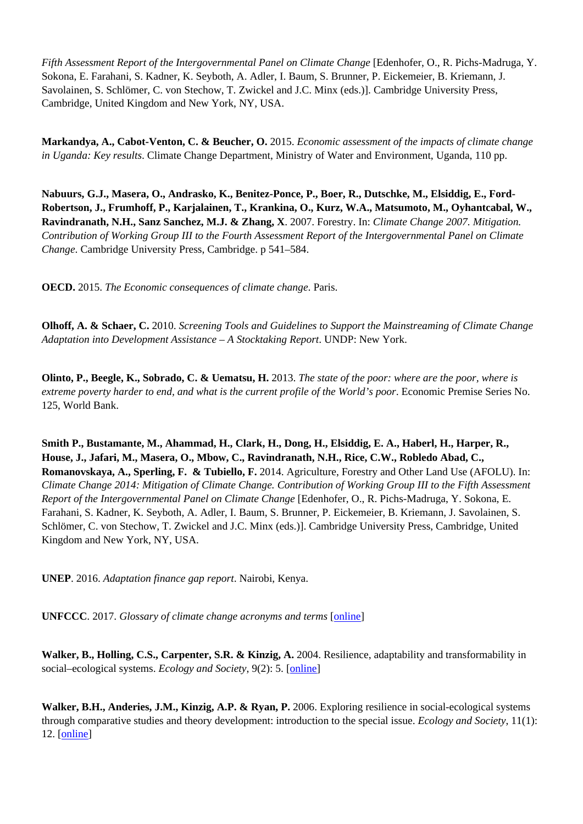*Fifth Assessment Report of the Intergovernmental Panel on Climate Change* [Edenhofer, O., R. Pichs-Madruga, Y. Sokona, E. Farahani, S. Kadner, K. Seyboth, A. Adler, I. Baum, S. Brunner, P. Eickemeier, B. Kriemann, J. Savolainen, S. Schlömer, C. von Stechow, T. Zwickel and J.C. Minx (eds.)]. Cambridge University Press, Cambridge, United Kingdom and New York, NY, USA.

**Markandya, A., Cabot-Venton, C. & Beucher, O.** 2015. *Economic assessment of the impacts of climate change in Uganda: Key results*. Climate Change Department, Ministry of Water and Environment, Uganda, 110 pp.

**Nabuurs, G.J., Masera, O., Andrasko, K., Benitez-Ponce, P., Boer, R., Dutschke, M., Elsiddig, E., Ford-Robertson, J., Frumhoff, P., Karjalainen, T., Krankina, O., Kurz, W.A., Matsumoto, M., Oyhantcabal, W., Ravindranath, N.H., Sanz Sanchez, M.J. & Zhang, X**. 2007. Forestry. In: *Climate Change 2007. Mitigation. Contribution of Working Group III to the Fourth Assessment Report of the Intergovernmental Panel on Climate Change*. Cambridge University Press, Cambridge. p 541–584.

**OECD.** 2015. *The Economic consequences of climate change*. Paris.

**Olhoff, A. & Schaer, C.** 2010. *Screening Tools and Guidelines to Support the Mainstreaming of Climate Change Adaptation into Development Assistance – A Stocktaking Report*. UNDP: New York.

**Olinto, P., Beegle, K., Sobrado, C. & Uematsu, H.** 2013. *The state of the poor: where are the poor, where is extreme poverty harder to end, and what is the current profile of the World's poor*. Economic Premise Series No. 125, World Bank.

**Smith P., Bustamante, M., Ahammad, H., Clark, H., Dong, H., Elsiddig, E. A., Haberl, H., Harper, R., House, J., Jafari, M., Masera, O., Mbow, C., Ravindranath, N.H., Rice, C.W., Robledo Abad, C., Romanovskaya, A., Sperling, F. & Tubiello, F.** 2014. Agriculture, Forestry and Other Land Use (AFOLU). In: *Climate Change 2014: Mitigation of Climate Change. Contribution of Working Group III to the Fifth Assessment Report of the Intergovernmental Panel on Climate Change* [Edenhofer, O., R. Pichs-Madruga, Y. Sokona, E. Farahani, S. Kadner, K. Seyboth, A. Adler, I. Baum, S. Brunner, P. Eickemeier, B. Kriemann, J. Savolainen, S. Schlömer, C. von Stechow, T. Zwickel and J.C. Minx (eds.)]. Cambridge University Press, Cambridge, United Kingdom and New York, NY, USA.

**UNEP**. 2016. *Adaptation finance gap report*. Nairobi, Kenya.

**UNFCCC**. 2017. *Glossary of climate change acronyms and terms* [\[online\]](http://unfccc.int/essential_background/glossary/items/3666.php)

**Walker, B., Holling, C.S., Carpenter, S.R. & Kinzig, A.** 2004. Resilience, adaptability and transformability in social–ecological systems. *Ecology and Society*, 9(2): 5. [\[online\]](http://www.ecologyandsociety.org/vol9/iss2/art5/)

**Walker, B.H., Anderies, J.M., Kinzig, A.P. & Ryan, P.** 2006. Exploring resilience in social-ecological systems through comparative studies and theory development: introduction to the special issue. *Ecology and Society*, 11(1): 12. [[online](http://www.ecologyandsociety.org/vol11/iss1/art12/)]